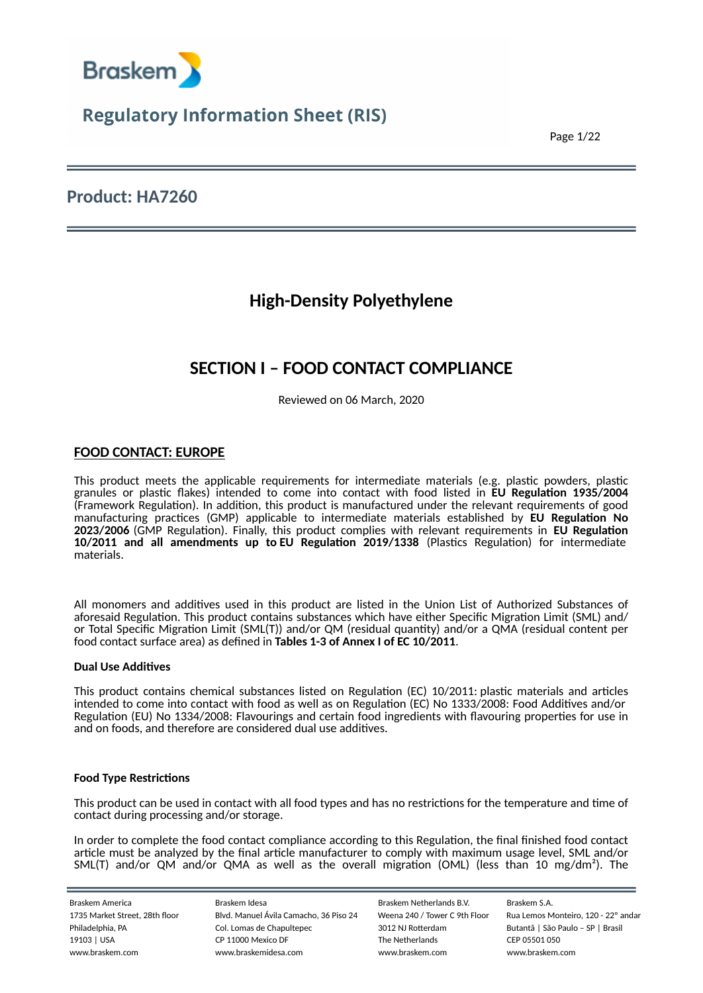

Page 1/22

### **Product: HA7260**

## **High-Density Polyethylene**

## **SECTION I – FOOD CONTACT COMPLIANCE**

Reviewed on 06 March, 2020

### **FOOD CONTACT: EUROPE**

This product meets the applicable requirements for intermediate materials (e.g. plastic powders, plastic granules or plastic flakes) intended to come into contact with food listed in **EU Regulation 1935/2004** (Framework Regulation). In addition, this product is manufactured under the relevant requirements of good manufacturing practices (GMP) applicable to intermediate materials established by **EU Regulation No 2023/2006** (GMP Regulation). Finally, this product complies with relevant requirements in **EU Regulation 10/2011 and all amendments up to EU Regulation 2019/1338** (Plastics Regulation) for intermediate materials.

All monomers and additives used in this product are listed in the Union List of Authorized Substances of aforesaid Regulation. This product contains substances which have either Specific Migration Limit (SML) and/ or Total Specific Migration Limit (SML(T)) and/or QM (residual quantity) and/or a QMA (residual content per food contact surface area) as defined in **Tables 1-3 of Annex I of EC 10/2011**.

#### **Dual Use Additives**

This product contains chemical substances listed on Regulation (EC) 10/2011: plastic materials and articles intended to come into contact with food as well as on Regulation (EC) No 1333/2008: Food Additives and/or Regulation (EU) No 1334/2008: Flavourings and certain food ingredients with flavouring properties for use in and on foods, and therefore are considered dual use additives.

#### **Food Type Restrictions**

This product can be used in contact with all food types and has no restrictions for the temperature and time of contact during processing and/or storage.

In order to complete the food contact compliance according to this Regulation, the final finished food contact article must be analyzed by the final article manufacturer to comply with maximum usage level, SML and/or SML(T) and/or QM and/or QMA as well as the overall migration (OML) (less than 10 mg/dm²). The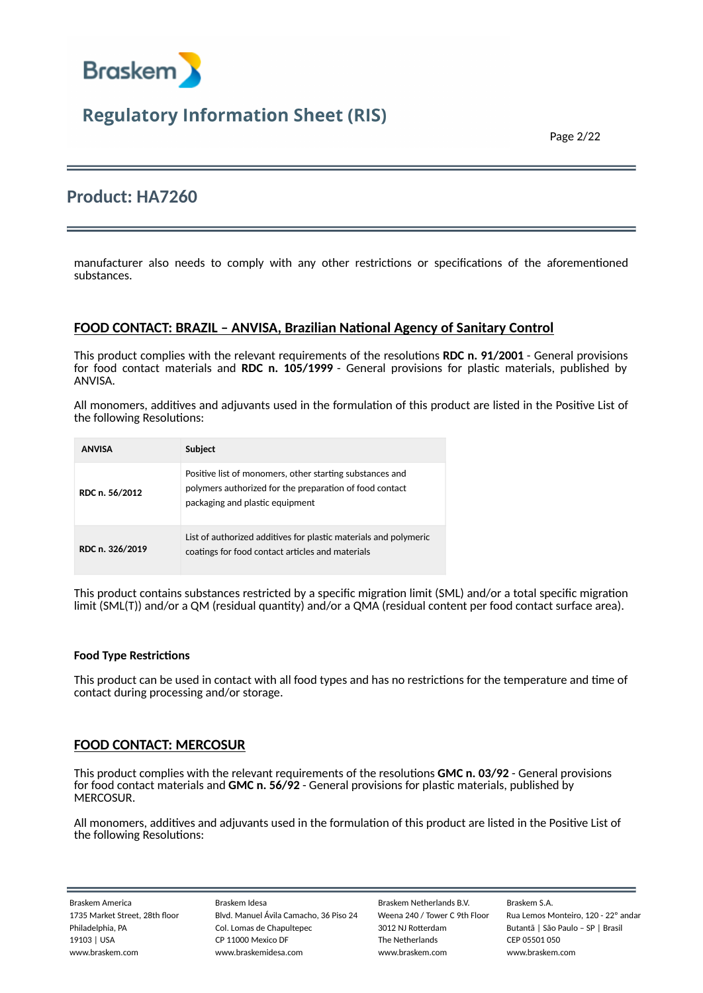

Page 2/22

### **Product: HA7260**

manufacturer also needs to comply with any other restrictions or specifications of the aforementioned substances.

### **FOOD CONTACT: BRAZIL – ANVISA, Brazilian National Agency of Sanitary Control**

This product complies with the relevant requirements of the resolutions **RDC n. 91/2001** - General provisions for food contact materials and **RDC n. 105/1999** - General provisions for plastic materials, published by ANVISA.

All monomers, additives and adjuvants used in the formulation of this product are listed in the Positive List of the following Resolutions:

| <b>ANVISA</b>   | Subject                                                                                                                                                |
|-----------------|--------------------------------------------------------------------------------------------------------------------------------------------------------|
| RDC n. 56/2012  | Positive list of monomers, other starting substances and<br>polymers authorized for the preparation of food contact<br>packaging and plastic equipment |
| RDC n. 326/2019 | List of authorized additives for plastic materials and polymeric<br>coatings for food contact articles and materials                                   |

This product contains substances restricted by a specific migration limit (SML) and/or a total specific migration limit (SML(T)) and/or a QM (residual quantity) and/or a QMA (residual content per food contact surface area).

#### **Food Type Restrictions**

This product can be used in contact with all food types and has no restrictions for the temperature and time of contact during processing and/or storage.

### **FOOD CONTACT: MERCOSUR**

This product complies with the relevant requirements of the resolutions **GMC n. 03/92** - General provisions for food contact materials and **GMC n. 56/92** - General provisions for plastic materials, published by MERCOSUR.

All monomers, additives and adjuvants used in the formulation of this product are listed in the Positive List of the following Resolutions: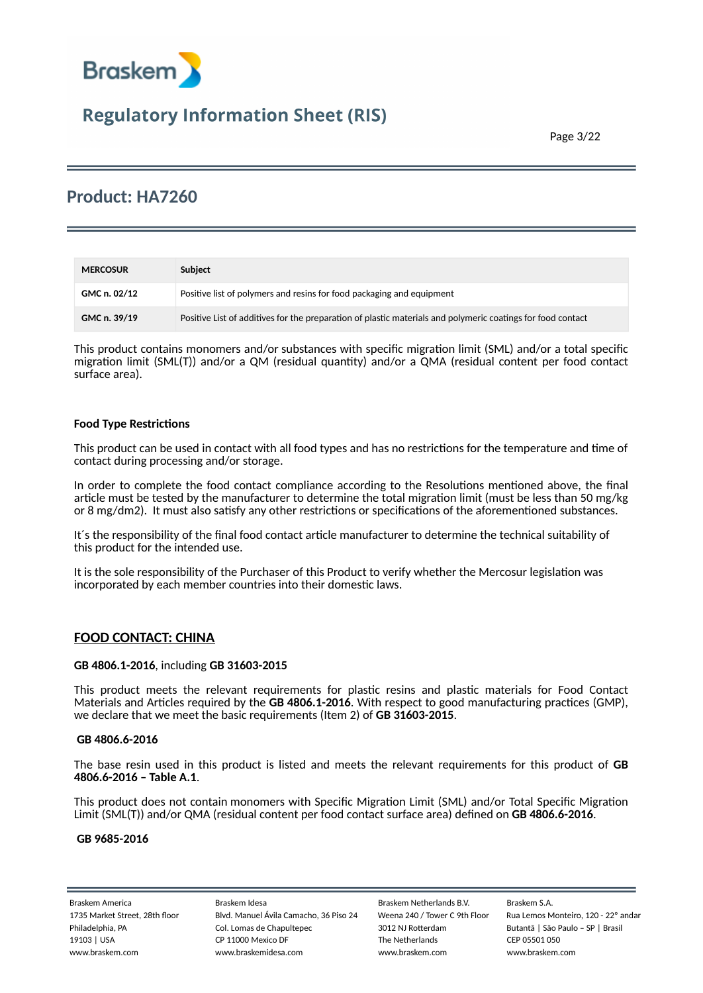

### **Product: HA7260**

| <b>MERCOSUR</b> | Subject                                                                                                     |
|-----------------|-------------------------------------------------------------------------------------------------------------|
| GMC n. 02/12    | Positive list of polymers and resins for food packaging and equipment                                       |
| GMC n. 39/19    | Positive List of additives for the preparation of plastic materials and polymeric coatings for food contact |

This product contains monomers and/or substances with specific migration limit (SML) and/or a total specific migration limit (SML(T)) and/or a QM (residual quantity) and/or a QMA (residual content per food contact surface area).

#### **Food Type Restrictions**

This product can be used in contact with all food types and has no restrictions for the temperature and time of contact during processing and/or storage.

In order to complete the food contact compliance according to the Resolutions mentioned above, the final article must be tested by the manufacturer to determine the total migration limit (must be less than 50 mg/kg or 8 mg/dm2). It must also satisfy any other restrictions or specifications of the aforementioned substances.

It´s the responsibility of the final food contact article manufacturer to determine the technical suitability of this product for the intended use.

It is the sole responsibility of the Purchaser of this Product to verify whether the Mercosur legislation was incorporated by each member countries into their domestic laws.

### **FOOD CONTACT: CHINA**

#### **GB 4806.1-2016**, including **GB 31603-2015**

This product meets the relevant requirements for plastic resins and plastic materials for Food Contact Materials and Articles required by the **GB 4806.1-2016**. With respect to good manufacturing practices (GMP), we declare that we meet the basic requirements (Item 2) of **GB 31603-2015**.

#### **GB 4806.6-2016**

The base resin used in this product is listed and meets the relevant requirements for this product of **GB 4806.6-2016 – Table A.1**.

This product does not contain monomers with Specific Migration Limit (SML) and/or Total Specific Migration Limit (SML(T)) and/or QMA (residual content per food contact surface area) defined on **GB 4806.6-2016**.

#### **GB 9685-2016**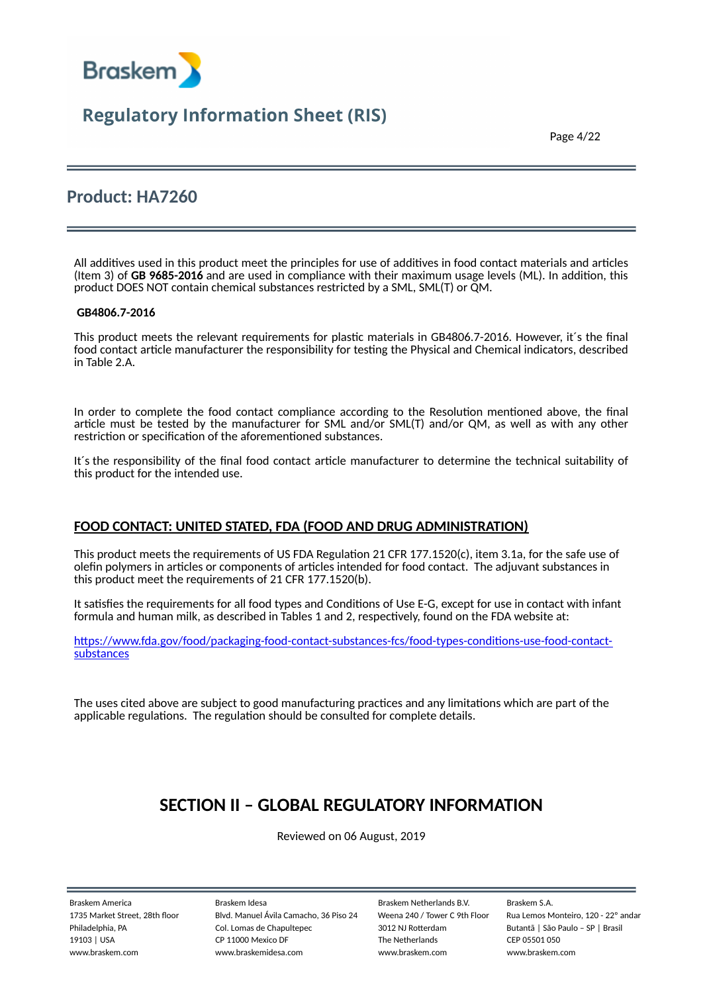

Page 4/22

### **Product: HA7260**

All additives used in this product meet the principles for use of additives in food contact materials and articles (Item 3) of **GB 9685-2016** and are used in compliance with their maximum usage levels (ML). In addition, this product DOES NOT contain chemical substances restricted by a SML, SML(T) or QM.

#### **GB4806.7-2016**

This product meets the relevant requirements for plastic materials in GB4806.7-2016. However, it´s the final food contact article manufacturer the responsibility for testing the Physical and Chemical indicators, described in Table 2.A.

In order to complete the food contact compliance according to the Resolution mentioned above, the final article must be tested by the manufacturer for SML and/or SML(T) and/or QM, as well as with any other restriction or specification of the aforementioned substances.

It´s the responsibility of the final food contact article manufacturer to determine the technical suitability of this product for the intended use.

### **FOOD CONTACT: UNITED STATED, FDA (FOOD AND DRUG ADMINISTRATION)**

This product meets the requirements of US FDA Regulation 21 CFR 177.1520(c), item 3.1a, for the safe use of olefin polymers in articles or components of articles intended for food contact. The adjuvant substances in this product meet the requirements of 21 CFR 177.1520(b).

It satisfies the requirements for all food types and Conditions of Use E-G, except for use in contact with infant formula and human milk, as described in Tables 1 and 2, respectively, found on the FDA website at:

htt[ps://www.fda.gov/food/packaging-food-contact-substances-fcs/food-types-condi](https://www.fda.gov/food/packaging-food-contact-substances-fcs/food-types-conditions-use-food-contact-substances)tions-use-food-contact[substances](https://www.fda.gov/food/packaging-food-contact-substances-fcs/food-types-conditions-use-food-contact-substances)

The uses cited above are subject to good manufacturing practices and any limitations which are part of the applicable regulations. The regulation should be consulted for complete details.

## **SECTION II – GLOBAL REGULATORY INFORMATION**

Reviewed on 06 August, 2019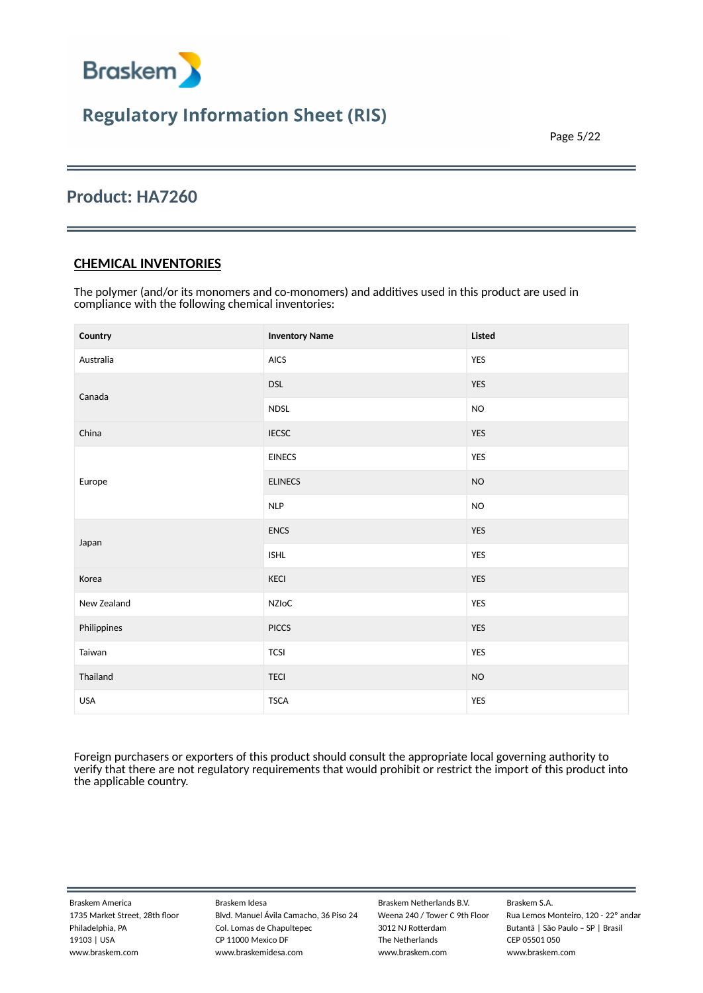

Page 5/22

### **Product: HA7260**

### **CHEMICAL INVENTORIES**

The polymer (and/or its monomers and co-monomers) and additives used in this product are used in compliance with the following chemical inventories:

| Country     | <b>Inventory Name</b> | Listed        |
|-------------|-----------------------|---------------|
| Australia   | AICS                  | YES           |
| Canada      | <b>DSL</b>            | <b>YES</b>    |
|             | <b>NDSL</b>           | $\mathsf{NO}$ |
| China       | <b>IECSC</b>          | <b>YES</b>    |
|             | <b>EINECS</b>         | YES           |
| Europe      | <b>ELINECS</b>        | $NO$          |
|             | <b>NLP</b>            | <b>NO</b>     |
| Japan       | <b>ENCS</b>           | YES           |
|             | <b>ISHL</b>           | YES           |
| Korea       | KECI                  | YES           |
| New Zealand | NZIoC                 | YES           |
| Philippines | <b>PICCS</b>          | <b>YES</b>    |
| Taiwan      | <b>TCSI</b>           | YES           |
| Thailand    | <b>TECI</b>           | NO            |
| <b>USA</b>  | <b>TSCA</b>           | YES           |

Foreign purchasers or exporters of this product should consult the appropriate local governing authority to verify that there are not regulatory requirements that would prohibit or restrict the import of this product into the applicable country.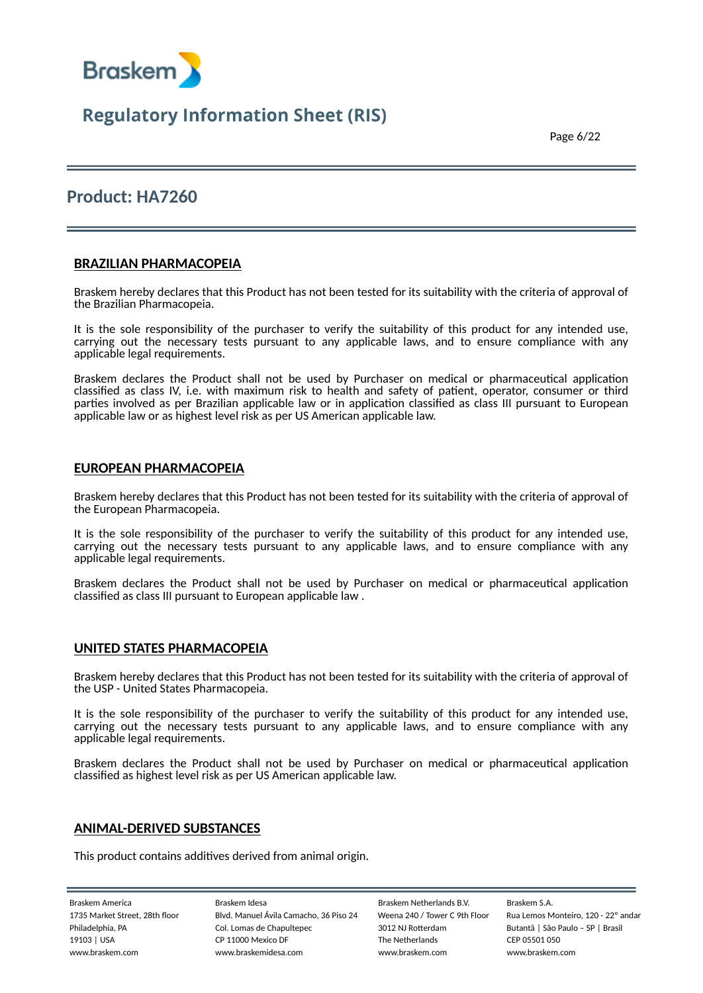

Page 6/22

### **Product: HA7260**

### **BRAZILIAN PHARMACOPEIA**

Braskem hereby declares that this Product has not been tested for its suitability with the criteria of approval of the Brazilian Pharmacopeia.

It is the sole responsibility of the purchaser to verify the suitability of this product for any intended use, carrying out the necessary tests pursuant to any applicable laws, and to ensure compliance with any applicable legal requirements.

Braskem declares the Product shall not be used by Purchaser on medical or pharmaceutical application classified as class IV, i.e. with maximum risk to health and safety of patient, operator, consumer or third parties involved as per Brazilian applicable law or in application classified as class III pursuant to European applicable law or as highest level risk as per US American applicable law.

#### **EUROPEAN PHARMACOPEIA**

Braskem hereby declares that this Product has not been tested for its suitability with the criteria of approval of the European Pharmacopeia.

It is the sole responsibility of the purchaser to verify the suitability of this product for any intended use, carrying out the necessary tests pursuant to any applicable laws, and to ensure compliance with any applicable legal requirements.

Braskem declares the Product shall not be used by Purchaser on medical or pharmaceutical application classified as class III pursuant to European applicable law .

#### **UNITED STATES PHARMACOPEIA**

Braskem hereby declares that this Product has not been tested for its suitability with the criteria of approval of the USP - United States Pharmacopeia.

It is the sole responsibility of the purchaser to verify the suitability of this product for any intended use, carrying out the necessary tests pursuant to any applicable laws, and to ensure compliance with any applicable legal requirements.

Braskem declares the Product shall not be used by Purchaser on medical or pharmaceutical application classified as highest level risk as per US American applicable law.

#### **ANIMAL-DERIVED SUBSTANCES**

This product contains additives derived from animal origin.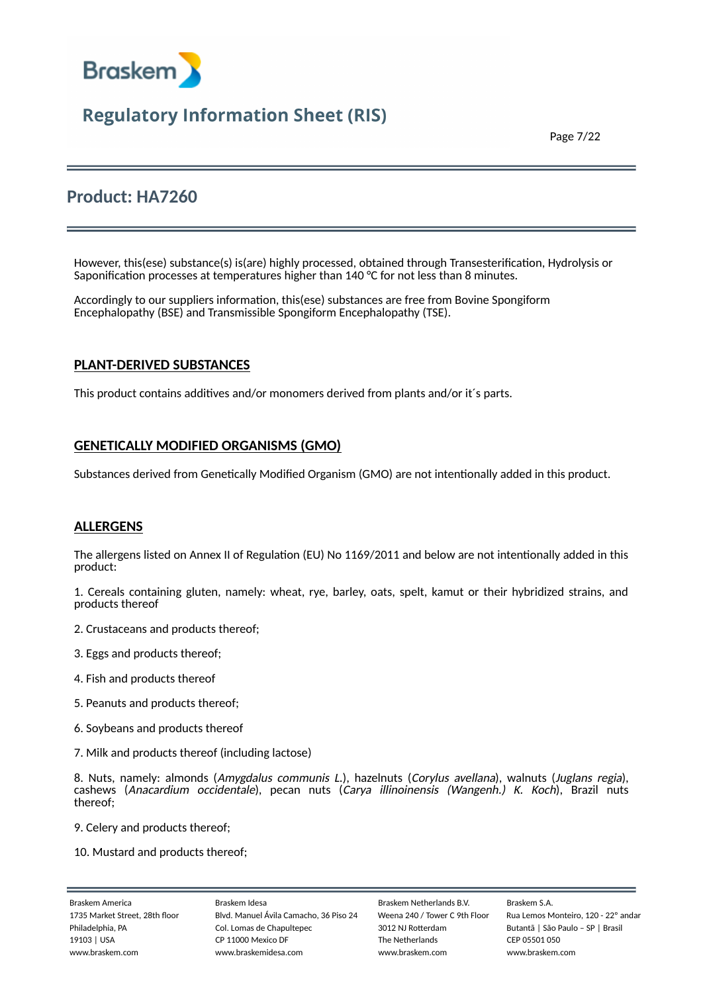

Page 7/22

### **Product: HA7260**

However, this(ese) substance(s) is(are) highly processed, obtained through Transesterification, Hydrolysis or Saponification processes at temperatures higher than 140 °C for not less than 8 minutes.

Accordingly to our suppliers information, this(ese) substances are free from Bovine Spongiform Encephalopathy (BSE) and Transmissible Spongiform Encephalopathy (TSE).

### **PLANT-DERIVED SUBSTANCES**

This product contains additives and/or monomers derived from plants and/or it´s parts.

### **GENETICALLY MODIFIED ORGANISMS (GMO)**

Substances derived from Genetically Modified Organism (GMO) are not intentionally added in this product.

### **ALLERGENS**

The allergens listed on Annex II of Regulation (EU) No 1169/2011 and below are not intentionally added in this product:

1. Cereals containing gluten, namely: wheat, rye, barley, oats, spelt, kamut or their hybridized strains, and products thereof

- 2. Crustaceans and products thereof;
- 3. Eggs and products thereof;
- 4. Fish and products thereof
- 5. Peanuts and products thereof;
- 6. Soybeans and products thereof
- 7. Milk and products thereof (including lactose)

8. Nuts, namely: almonds (Amygdalus communis L.), hazelnuts (Corylus avellana), walnuts (Juglans regia), cashews (Anacardium occidentale), pecan nuts (Carya illinoinensis (Wangenh.) K. Koch), Brazil nuts thereof;

- 9. Celery and products thereof;
- 10. Mustard and products thereof;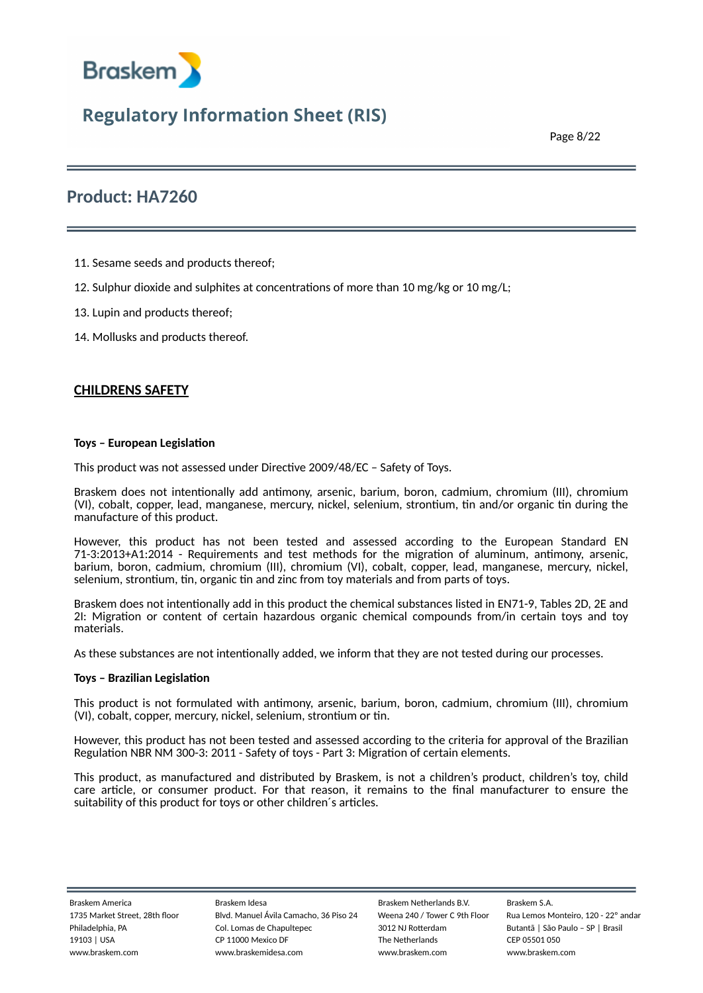

Page 8/22

### **Product: HA7260**

- 11. Sesame seeds and products thereof;
- 12. Sulphur dioxide and sulphites at concentrations of more than 10 mg/kg or 10 mg/L;
- 13. Lupin and products thereof;
- 14. Mollusks and products thereof.

### **CHILDRENS SAFETY**

#### **Toys – European Legislation**

This product was not assessed under Directive 2009/48/EC – Safety of Toys.

Braskem does not intentionally add antimony, arsenic, barium, boron, cadmium, chromium (III), chromium (VI), cobalt, copper, lead, manganese, mercury, nickel, selenium, strontium, tin and/or organic tin during the manufacture of this product.

However, this product has not been tested and assessed according to the European Standard EN 71-3:2013+A1:2014 - Requirements and test methods for the migration of aluminum, antimony, arsenic, barium, boron, cadmium, chromium (III), chromium (VI), cobalt, copper, lead, manganese, mercury, nickel, selenium, strontium, tin, organic tin and zinc from toy materials and from parts of toys.

Braskem does not intentionally add in this product the chemical substances listed in EN71-9, Tables 2D, 2E and 2I: Migration or content of certain hazardous organic chemical compounds from/in certain toys and toy materials.

As these substances are not intentionally added, we inform that they are not tested during our processes.

#### **Toys – Brazilian Legislation**

This product is not formulated with antimony, arsenic, barium, boron, cadmium, chromium (III), chromium (VI), cobalt, copper, mercury, nickel, selenium, strontium or tin.

However, this product has not been tested and assessed according to the criteria for approval of the Brazilian Regulation NBR NM 300-3: 2011 - Safety of toys - Part 3: Migration of certain elements.

This product, as manufactured and distributed by Braskem, is not a children's product, children's toy, child care article, or consumer product. For that reason, it remains to the final manufacturer to ensure the suitability of this product for toys or other children´s articles.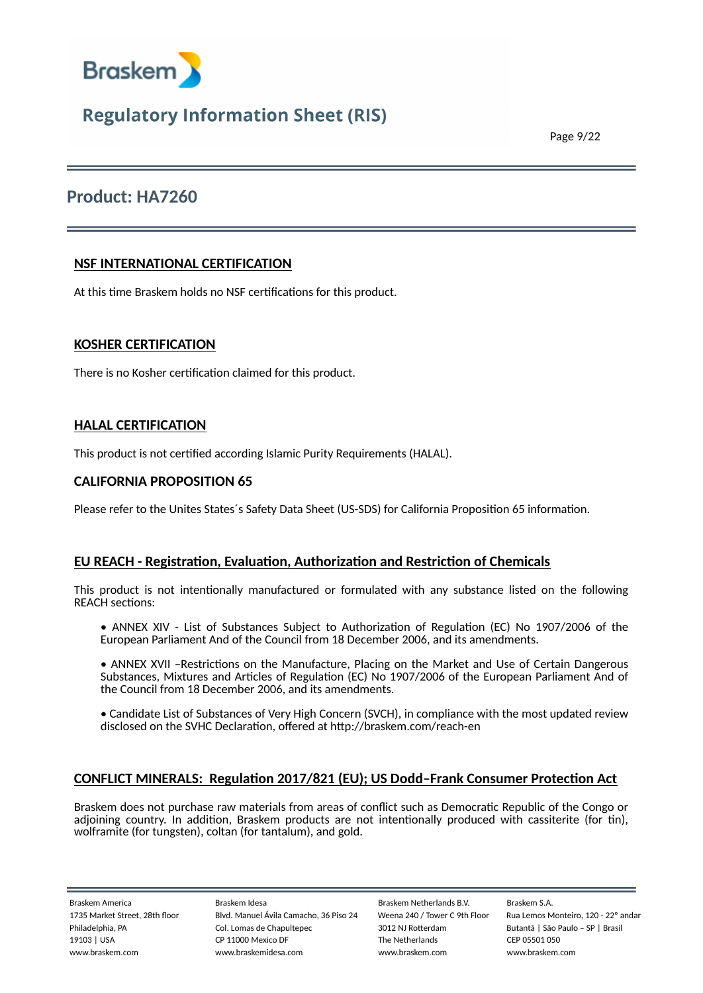

Page 9/22

### **Product: HA7260**

### **NSF INTERNATIONAL CERTIFICATION**

At this time Braskem holds no NSF certifications for this product.

### **KOSHER CERTIFICATION**

There is no Kosher certification claimed for this product.

### **HALAL CERTIFICATION**

This product is not certified according Islamic Purity Requirements (HALAL).

### **CALIFORNIA PROPOSITION 65**

Please refer to the Unites States´s Safety Data Sheet (US-SDS) for California Proposition 65 information.

### **EU REACH - Registration, Evaluation, Authorization and Restriction of Chemicals**

This product is not intentionally manufactured or formulated with any substance listed on the following REACH sections:

- ANNEX XIV List of Substances Subject to Authorization of Regulation (EC) No 1907/2006 of the European Parliament And of the Council from 18 December 2006, and its amendments.
- ANNEX XVII –Restrictions on the Manufacture, Placing on the Market and Use of Certain Dangerous Substances, Mixtures and Articles of Regulation (EC) No 1907/2006 of the European Parliament And of the Council from 18 December 2006, and its amendments.
- Candidate List of Substances of Very High Concern (SVCH), in compliance with the most updated review disclosed on the SVHC Declaration, offered at http://braskem.com/reach-en

### **CONFLICT MINERALS: Regulation 2017/821 (EU); US Dodd–Frank Consumer Protection Act**

Braskem does not purchase raw materials from areas of conflict such as Democratic Republic of the Congo or adjoining country. In addition, Braskem products are not intentionally produced with cassiterite (for tin), wolframite (for tungsten), coltan (for tantalum), and gold.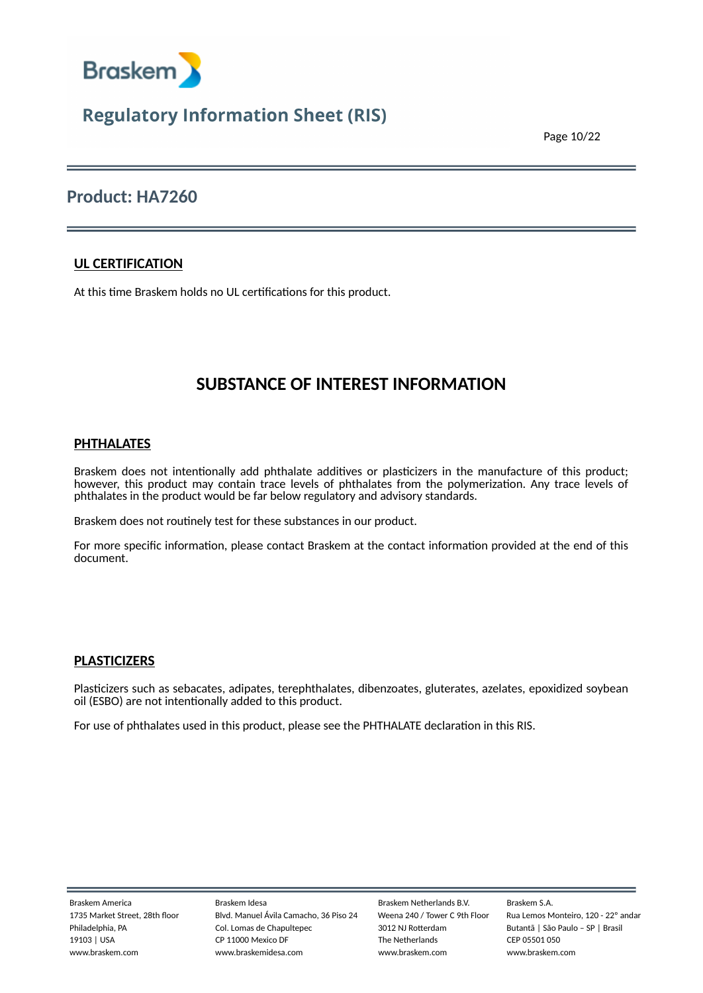

Page 10/22

### **Product: HA7260**

### **UL CERTIFICATION**

At this time Braskem holds no UL certifications for this product.

### **SUBSTANCE OF INTEREST INFORMATION**

### **PHTHALATES**

Braskem does not intentionally add phthalate additives or plasticizers in the manufacture of this product; however, this product may contain trace levels of phthalates from the polymerization. Any trace levels of phthalates in the product would be far below regulatory and advisory standards.

Braskem does not routinely test for these substances in our product.

For more specific information, please contact Braskem at the contact information provided at the end of this document.

### **PLASTICIZERS**

Plasticizers such as sebacates, adipates, terephthalates, dibenzoates, gluterates, azelates, epoxidized soybean oil (ESBO) are not intentionally added to this product.

For use of phthalates used in this product, please see the PHTHALATE declaration in this RIS.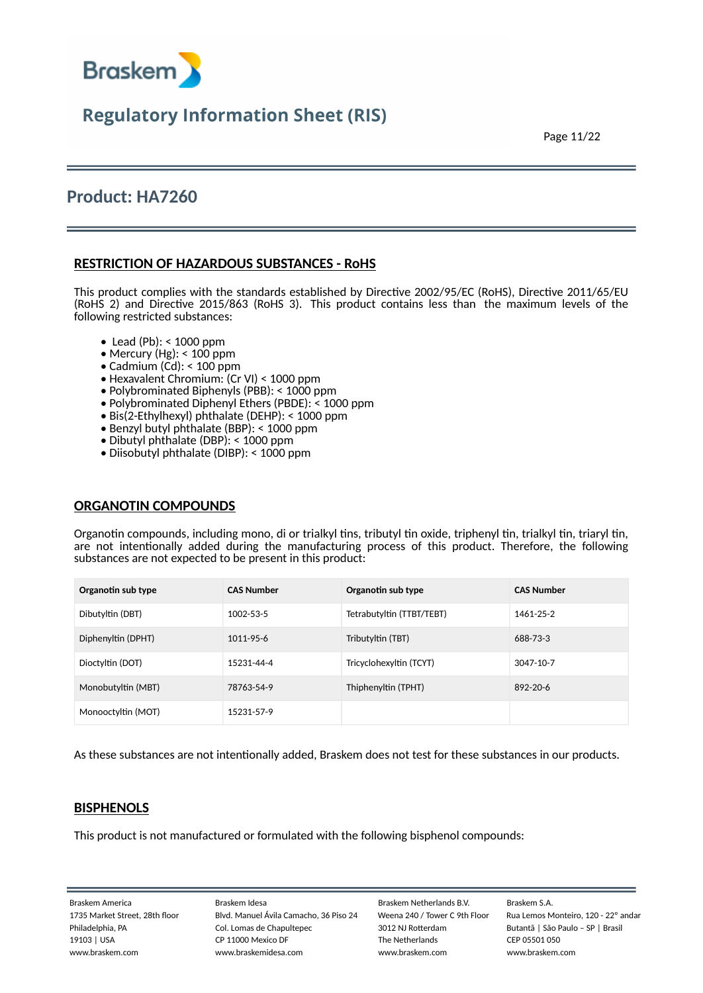

Page 11/22

### **Product: HA7260**

### **RESTRICTION OF HAZARDOUS SUBSTANCES - RoHS**

This product complies with the standards established by Directive 2002/95/EC (RoHS), Directive 2011/65/EU (RoHS 2) and Directive 2015/863 (RoHS 3). This product contains less than the maximum levels of the following restricted substances:

- Lead (Pb): < 1000 ppm
- Mercury (Hg): < 100 ppm
- Cadmium (Cd): < 100 ppm •
- Hexavalent Chromium: (Cr VI) < 1000 ppm •
- Polybrominated Biphenyls (PBB): < 1000 ppm •
- Polybrominated Diphenyl Ethers (PBDE): < 1000 ppm •
- Bis(2-Ethylhexyl) phthalate (DEHP): < 1000 ppm •
- Benzyl butyl phthalate (BBP): < 1000 ppm •
- Dibutyl phthalate (DBP): < 1000 ppm •
- Diisobutyl phthalate (DIBP): < 1000 ppm •

### **ORGANOTIN COMPOUNDS**

Organotin compounds, including mono, di or trialkyl tins, tributyl tin oxide, triphenyl tin, trialkyl tin, triaryl tin, are not intentionally added during the manufacturing process of this product. Therefore, the following substances are not expected to be present in this product:

| Organotin sub type | <b>CAS Number</b> | Organotin sub type        | <b>CAS Number</b> |
|--------------------|-------------------|---------------------------|-------------------|
| Dibutyltin (DBT)   | 1002-53-5         | Tetrabutyltin (TTBT/TEBT) | 1461-25-2         |
| Diphenyltin (DPHT) | 1011-95-6         | Tributyltin (TBT)         | 688-73-3          |
| Dioctyltin (DOT)   | 15231-44-4        | Tricyclohexyltin (TCYT)   | 3047-10-7         |
| Monobutyltin (MBT) | 78763-54-9        | Thiphenyltin (TPHT)       | $892 - 20 - 6$    |
| Monooctyltin (MOT) | 15231-57-9        |                           |                   |

As these substances are not intentionally added, Braskem does not test for these substances in our products.

### **BISPHENOLS**

This product is not manufactured or formulated with the following bisphenol compounds: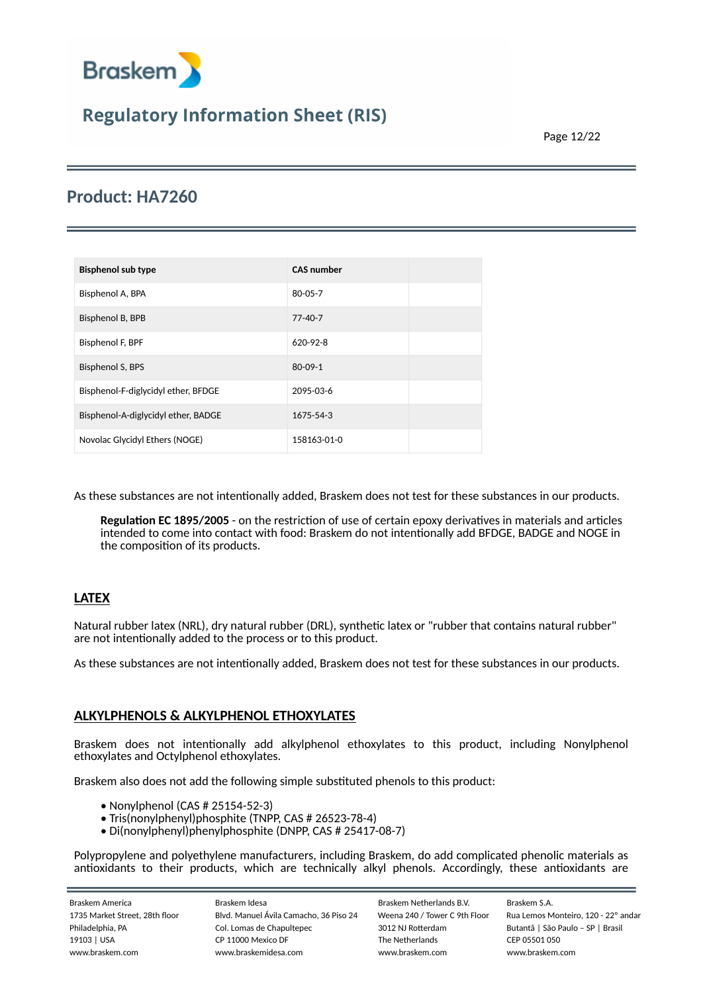

Page 12/22

### **Product: HA7260**

| <b>Bisphenol sub type</b>           | <b>CAS number</b> |  |
|-------------------------------------|-------------------|--|
| Bisphenol A, BPA                    | $80 - 05 - 7$     |  |
| Bisphenol B, BPB                    | $77 - 40 - 7$     |  |
| Bisphenol F, BPF                    | $620 - 92 - 8$    |  |
| Bisphenol S, BPS                    | $80 - 09 - 1$     |  |
| Bisphenol-F-diglycidyl ether, BFDGE | 2095-03-6         |  |
| Bisphenol-A-diglycidyl ether, BADGE | 1675-54-3         |  |
| Novolac Glycidyl Ethers (NOGE)      | 158163-01-0       |  |

As these substances are not intentionally added, Braskem does not test for these substances in our products.

**Regulation EC 1895/2005** - on the restriction of use of certain epoxy derivatives in materials and articles intended to come into contact with food: Braskem do not intentionally add BFDGE, BADGE and NOGE in the composition of its products.

### **LATEX**

Natural rubber latex (NRL), dry natural rubber (DRL), synthetic latex or "rubber that contains natural rubber" are not intentionally added to the process or to this product.

As these substances are not intentionally added, Braskem does not test for these substances in our products.

### **ALKYLPHENOLS & ALKYLPHENOL ETHOXYLATES**

Braskem does not intentionally add alkylphenol ethoxylates to this product, including Nonylphenol ethoxylates and Octylphenol ethoxylates.

Braskem also does not add the following simple substituted phenols to this product:

- Nonylphenol (CAS # 25154-52-3) •
- Tris(nonylphenyl)phosphite (TNPP, CAS # 26523-78-4) •
- Di(nonylphenyl)phenylphosphite (DNPP, CAS # 25417-08-7) •

Polypropylene and polyethylene manufacturers, including Braskem, do add complicated phenolic materials as antioxidants to their products, which are technically alkyl phenols. Accordingly, these antioxidants are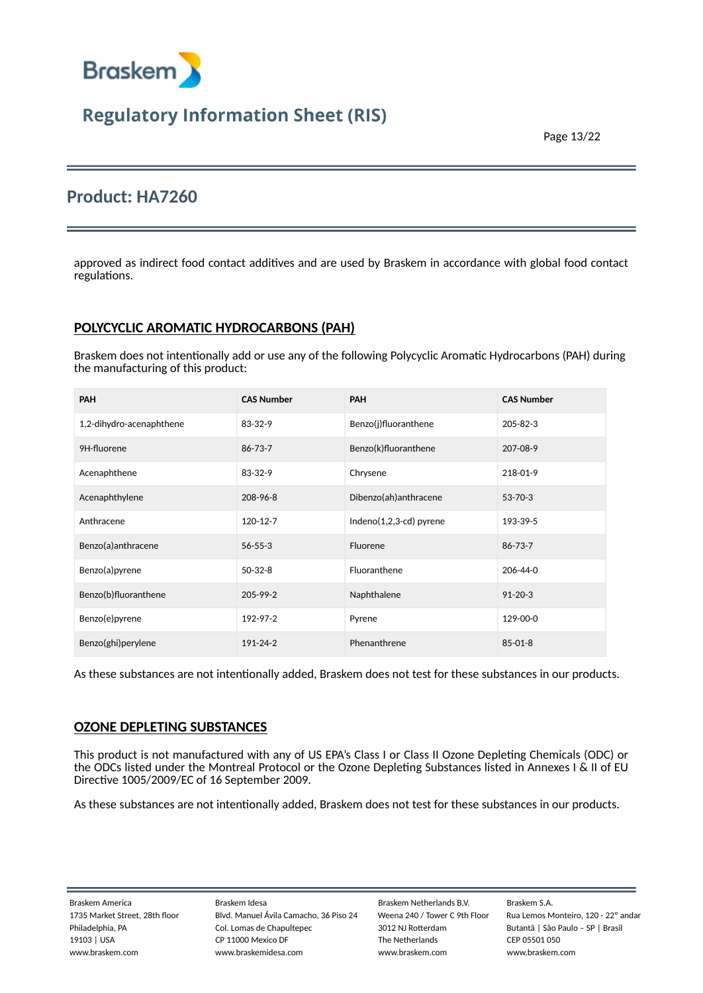

Page 13/22

### **Product: HA7260**

approved as indirect food contact additives and are used by Braskem in accordance with global food contact regulations.

### **POLYCYCLIC AROMATIC HYDROCARBONS (PAH)**

Braskem does not intentionally add or use any of the following Polycyclic Aromatic Hydrocarbons (PAH) during the manufacturing of this product:

| <b>PAH</b>               | <b>CAS Number</b> | <b>PAH</b>                 | <b>CAS Number</b> |
|--------------------------|-------------------|----------------------------|-------------------|
| 1,2-dihydro-acenaphthene | 83-32-9           | Benzo(j)fluoranthene       | 205-82-3          |
| 9H-fluorene              | 86-73-7           | Benzo(k)fluoranthene       | 207-08-9          |
| Acenaphthene             | 83-32-9           | Chrysene                   | 218-01-9          |
| Acenaphthylene           | 208-96-8          | Dibenzo(ah)anthracene      | 53-70-3           |
| Anthracene               | 120-12-7          | Indeno $(1,2,3-cd)$ pyrene | 193-39-5          |
| Benzo(a)anthracene       | $56 - 55 - 3$     | Fluorene                   | 86-73-7           |
| Benzo(a)pyrene           | $50-32-8$         | Fluoranthene               | 206-44-0          |
| Benzo(b)fluoranthene     | $205 - 99 - 2$    | Naphthalene                | $91 - 20 - 3$     |
| Benzo(e)pyrene           | 192-97-2          | Pyrene                     | 129-00-0          |
| Benzo(ghi)perylene       | 191-24-2          | Phenanthrene               | $85 - 01 - 8$     |

As these substances are not intentionally added, Braskem does not test for these substances in our products.

### **OZONE DEPLETING SUBSTANCES**

This product is not manufactured with any of US EPA's Class I or Class II Ozone Depleting Chemicals (ODC) or the ODCs listed under the Montreal Protocol or the Ozone Depleting Substances listed in Annexes I & II of EU Directive 1005/2009/EC of 16 September 2009.

As these substances are not intentionally added, Braskem does not test for these substances in our products.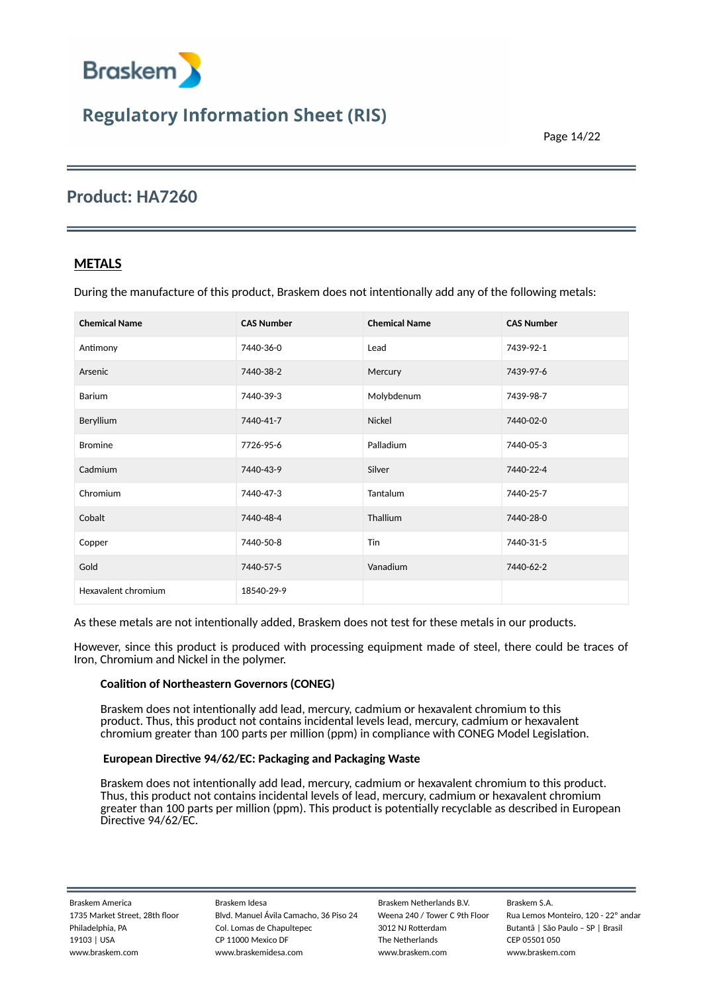

Page 14/22

### **Product: HA7260**

### **METALS**

During the manufacture of this product, Braskem does not intentionally add any of the following metals:

| <b>Chemical Name</b> | <b>CAS Number</b> | <b>Chemical Name</b> | <b>CAS Number</b> |
|----------------------|-------------------|----------------------|-------------------|
| Antimony             | 7440-36-0         | Lead                 | 7439-92-1         |
| Arsenic              | 7440-38-2         | Mercury              | 7439-97-6         |
| Barium               | 7440-39-3         | Molybdenum           | 7439-98-7         |
| Beryllium            | 7440-41-7         | <b>Nickel</b>        | 7440-02-0         |
| <b>Bromine</b>       | 7726-95-6         | Palladium            | 7440-05-3         |
| Cadmium              | 7440-43-9         | Silver               | 7440-22-4         |
| Chromium             | 7440-47-3         | Tantalum             | 7440-25-7         |
| Cobalt               | 7440-48-4         | Thallium             | 7440-28-0         |
| Copper               | 7440-50-8         | Tin                  | 7440-31-5         |
| Gold                 | 7440-57-5         | Vanadium             | 7440-62-2         |
| Hexavalent chromium  | 18540-29-9        |                      |                   |

As these metals are not intentionally added, Braskem does not test for these metals in our products.

However, since this product is produced with processing equipment made of steel, there could be traces of Iron, Chromium and Nickel in the polymer.

#### **Coalition of Northeastern Governors (CONEG)**

Braskem does not intentionally add lead, mercury, cadmium or hexavalent chromium to this product. Thus, this product not contains incidental levels lead, mercury, cadmium or hexavalent chromium greater than 100 parts per million (ppm) in compliance with CONEG Model Legislation.

#### **European Directive 94/62/EC: Packaging and Packaging Waste**

Braskem does not intentionally add lead, mercury, cadmium or hexavalent chromium to this product. Thus, this product not contains incidental levels of lead, mercury, cadmium or hexavalent chromium greater than 100 parts per million (ppm). This product is potentially recyclable as described in European Directive 94/62/EC.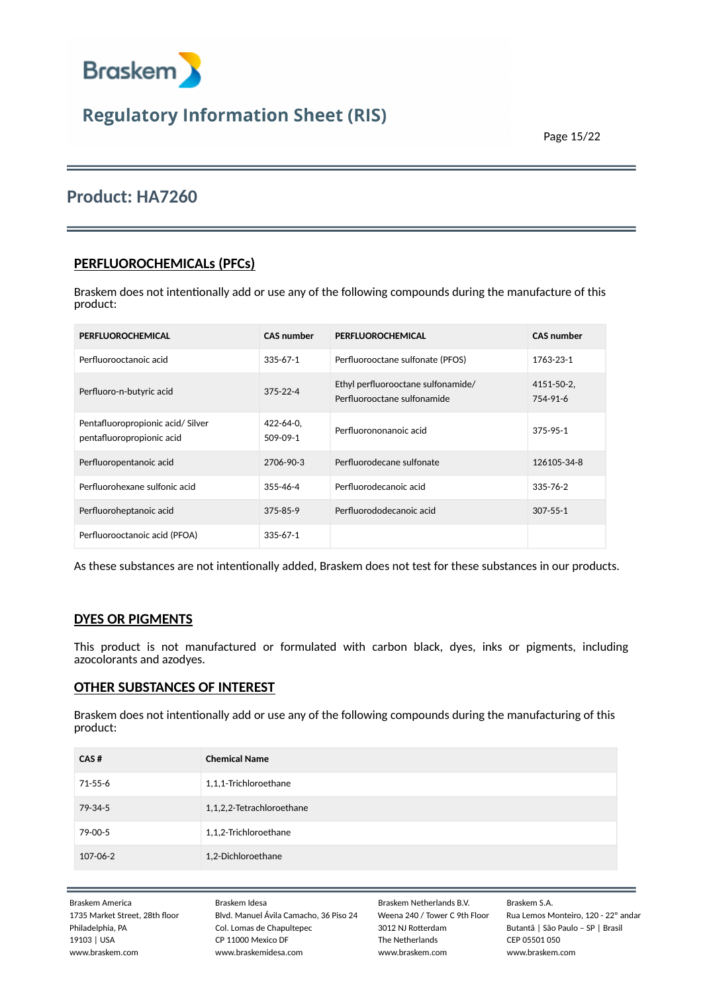

### **Product: HA7260**

### **PERFLUOROCHEMICALs (PFCs)**

Braskem does not intentionally add or use any of the following compounds during the manufacture of this product:

| PERFLUOROCHEMICAL                                             | <b>CAS number</b>            | PERFLUOROCHEMICAL                                                 | <b>CAS number</b>      |
|---------------------------------------------------------------|------------------------------|-------------------------------------------------------------------|------------------------|
| Perfluorooctanoic acid                                        | $335 - 67 - 1$               | Perfluorooctane sulfonate (PFOS)                                  | 1763-23-1              |
| Perfluoro-n-butyric acid                                      | $375 - 22 - 4$               | Ethyl perfluorooctane sulfonamide/<br>Perfluorooctane sulfonamide | 4151-50-2,<br>754-91-6 |
| Pentafluoropropionic acid/Silver<br>pentafluoropropionic acid | $422 - 64 - 0$ ,<br>509-09-1 | Perfluorononanoic acid                                            | 375-95-1               |
| Perfluoropentanoic acid                                       | 2706-90-3                    | Perfluorodecane sulfonate                                         | 126105-34-8            |
| Perfluorohexane sulfonic acid                                 | $355 - 46 - 4$               | Perfluorodecanoic acid                                            | $335 - 76 - 2$         |
| Perfluoroheptanoic acid                                       | $375 - 85 - 9$               | Perfluorododecanoic acid                                          | $307 - 55 - 1$         |
| Perfluorooctanoic acid (PFOA)                                 | $335 - 67 - 1$               |                                                                   |                        |

As these substances are not intentionally added, Braskem does not test for these substances in our products.

### **DYES OR PIGMENTS**

This product is not manufactured or formulated with carbon black, dyes, inks or pigments, including azocolorants and azodyes.

### **OTHER SUBSTANCES OF INTEREST**

Braskem does not intentionally add or use any of the following compounds during the manufacturing of this product:

| CAS#          | <b>Chemical Name</b>      |
|---------------|---------------------------|
| 71-55-6       | 1,1,1-Trichloroethane     |
| $79 - 34 - 5$ | 1,1,2,2-Tetrachloroethane |
| 79-00-5       | 1,1,2-Trichloroethane     |
| 107-06-2      | 1,2-Dichloroethane        |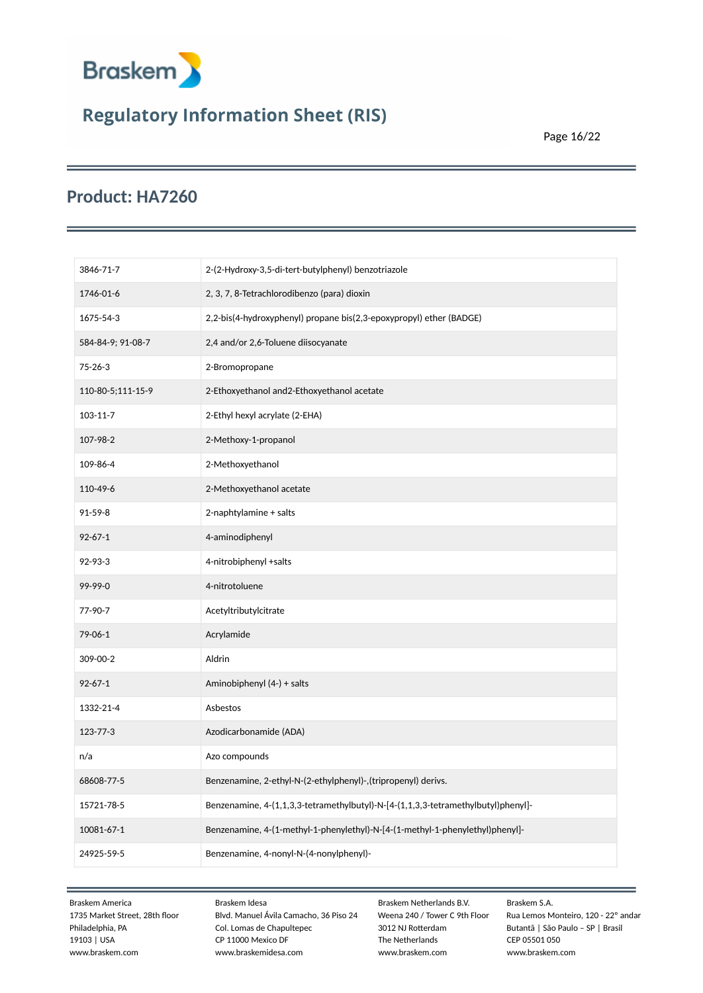

Page 16/22

### **Product: HA7260**

| 3846-71-7         | 2-(2-Hydroxy-3,5-di-tert-butylphenyl) benzotriazole                               |
|-------------------|-----------------------------------------------------------------------------------|
| 1746-01-6         | 2, 3, 7, 8-Tetrachlorodibenzo (para) dioxin                                       |
| 1675-54-3         | 2,2-bis(4-hydroxyphenyl) propane bis(2,3-epoxypropyl) ether (BADGE)               |
| 584-84-9; 91-08-7 | 2,4 and/or 2,6-Toluene diisocyanate                                               |
| $75 - 26 - 3$     | 2-Bromopropane                                                                    |
| 110-80-5;111-15-9 | 2-Ethoxyethanol and2-Ethoxyethanol acetate                                        |
| 103-11-7          | 2-Ethyl hexyl acrylate (2-EHA)                                                    |
| 107-98-2          | 2-Methoxy-1-propanol                                                              |
| 109-86-4          | 2-Methoxyethanol                                                                  |
| 110-49-6          | 2-Methoxyethanol acetate                                                          |
| 91-59-8           | 2-naphtylamine + salts                                                            |
| $92 - 67 - 1$     | 4-aminodiphenyl                                                                   |
| 92-93-3           | 4-nitrobiphenyl +salts                                                            |
| 99-99-0           | 4-nitrotoluene                                                                    |
| 77-90-7           | Acetyltributylcitrate                                                             |
| 79-06-1           | Acrylamide                                                                        |
| 309-00-2          | Aldrin                                                                            |
| $92 - 67 - 1$     | Aminobiphenyl (4-) + salts                                                        |
| 1332-21-4         | Asbestos                                                                          |
| 123-77-3          | Azodicarbonamide (ADA)                                                            |
| n/a               | Azo compounds                                                                     |
| 68608-77-5        | Benzenamine, 2-ethyl-N-(2-ethylphenyl)-,(tripropenyl) derivs.                     |
| 15721-78-5        | Benzenamine, 4-(1,1,3,3-tetramethylbutyl)-N-[4-(1,1,3,3-tetramethylbutyl)phenyl]- |
| 10081-67-1        | Benzenamine, 4-(1-methyl-1-phenylethyl)-N-[4-(1-methyl-1-phenylethyl)phenyl]-     |
| 24925-59-5        | Benzenamine, 4-nonyl-N-(4-nonylphenyl)-                                           |
|                   |                                                                                   |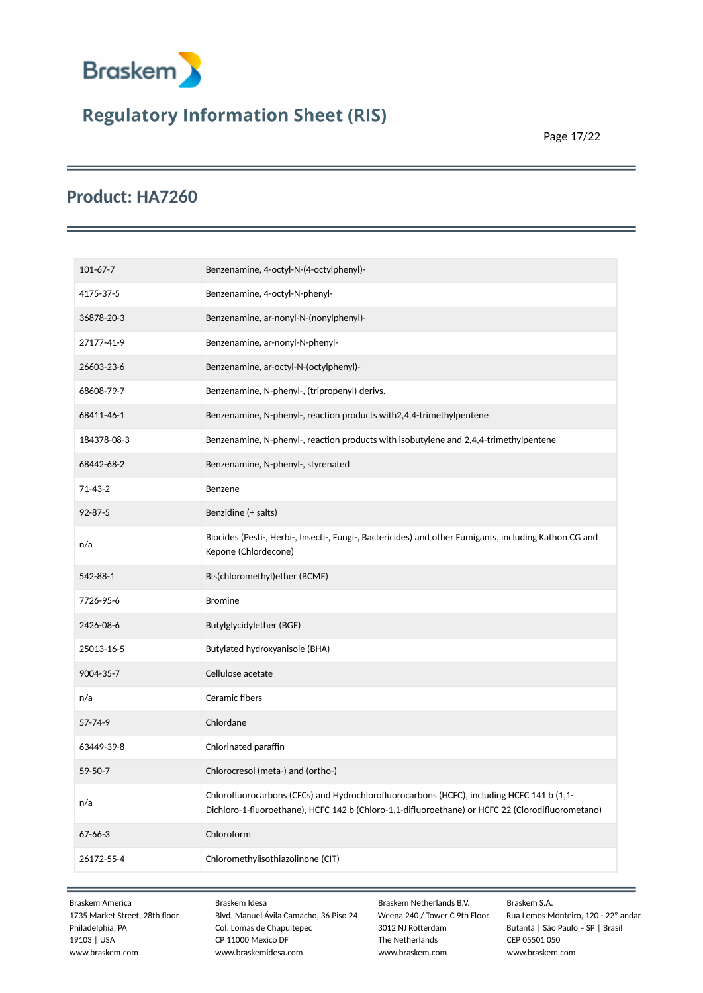

Page 17/22

### **Product: HA7260**

| $101 - 67 - 7$ | Benzenamine, 4-octyl-N-(4-octylphenyl)-                                                                                                                                                         |
|----------------|-------------------------------------------------------------------------------------------------------------------------------------------------------------------------------------------------|
| 4175-37-5      | Benzenamine, 4-octyl-N-phenyl-                                                                                                                                                                  |
| 36878-20-3     | Benzenamine, ar-nonyl-N-(nonylphenyl)-                                                                                                                                                          |
| 27177-41-9     | Benzenamine, ar-nonyl-N-phenyl-                                                                                                                                                                 |
| 26603-23-6     | Benzenamine, ar-octyl-N-(octylphenyl)-                                                                                                                                                          |
| 68608-79-7     | Benzenamine, N-phenyl-, (tripropenyl) derivs.                                                                                                                                                   |
| 68411-46-1     | Benzenamine, N-phenyl-, reaction products with 2, 4, 4-trimethylpentene                                                                                                                         |
| 184378-08-3    | Benzenamine, N-phenyl-, reaction products with isobutylene and 2,4,4-trimethylpentene                                                                                                           |
| 68442-68-2     | Benzenamine, N-phenyl-, styrenated                                                                                                                                                              |
| $71 - 43 - 2$  | Benzene                                                                                                                                                                                         |
| $92 - 87 - 5$  | Benzidine (+ salts)                                                                                                                                                                             |
| n/a            | Biocides (Pesti-, Herbi-, Insecti-, Fungi-, Bactericides) and other Fumigants, including Kathon CG and<br>Kepone (Chlordecone)                                                                  |
| 542-88-1       | Bis(chloromethyl)ether (BCME)                                                                                                                                                                   |
| 7726-95-6      | <b>Bromine</b>                                                                                                                                                                                  |
| 2426-08-6      | Butylglycidylether (BGE)                                                                                                                                                                        |
| 25013-16-5     | Butylated hydroxyanisole (BHA)                                                                                                                                                                  |
| 9004-35-7      | Cellulose acetate                                                                                                                                                                               |
| n/a            | Ceramic fibers                                                                                                                                                                                  |
| 57-74-9        | Chlordane                                                                                                                                                                                       |
| 63449-39-8     | Chlorinated paraffin                                                                                                                                                                            |
| 59-50-7        | Chlorocresol (meta-) and (ortho-)                                                                                                                                                               |
| n/a            | Chlorofluorocarbons (CFCs) and Hydrochlorofluorocarbons (HCFC), including HCFC 141 b (1,1-<br>Dichloro-1-fluoroethane), HCFC 142 b (Chloro-1,1-difluoroethane) or HCFC 22 (Clorodifluorometano) |
| 67-66-3        | Chloroform                                                                                                                                                                                      |
| 26172-55-4     | Chloromethylisothiazolinone (CIT)                                                                                                                                                               |
|                |                                                                                                                                                                                                 |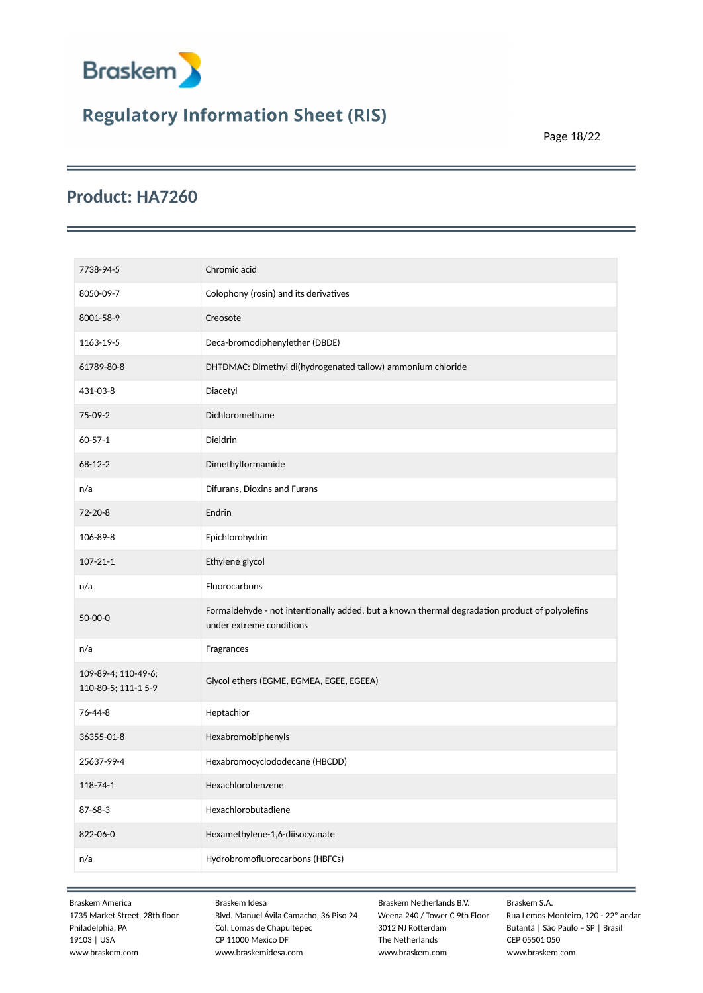

Page 18/22

### **Product: HA7260**

| 7738-94-5                                  | Chromic acid                                                                                                               |
|--------------------------------------------|----------------------------------------------------------------------------------------------------------------------------|
| 8050-09-7                                  | Colophony (rosin) and its derivatives                                                                                      |
| 8001-58-9                                  | Creosote                                                                                                                   |
| 1163-19-5                                  | Deca-bromodiphenylether (DBDE)                                                                                             |
| 61789-80-8                                 | DHTDMAC: Dimethyl di(hydrogenated tallow) ammonium chloride                                                                |
| 431-03-8                                   | Diacetyl                                                                                                                   |
| 75-09-2                                    | Dichloromethane                                                                                                            |
| $60 - 57 - 1$                              | Dieldrin                                                                                                                   |
| 68-12-2                                    | Dimethylformamide                                                                                                          |
| n/a                                        | Difurans, Dioxins and Furans                                                                                               |
| 72-20-8                                    | Endrin                                                                                                                     |
| 106-89-8                                   | Epichlorohydrin                                                                                                            |
| $107 - 21 - 1$                             | Ethylene glycol                                                                                                            |
| n/a                                        | Fluorocarbons                                                                                                              |
| 50-00-0                                    | Formaldehyde - not intentionally added, but a known thermal degradation product of polyolefins<br>under extreme conditions |
| n/a                                        | Fragrances                                                                                                                 |
| 109-89-4; 110-49-6;<br>110-80-5; 111-1 5-9 | Glycol ethers (EGME, EGMEA, EGEE, EGEEA)                                                                                   |
| 76-44-8                                    | Heptachlor                                                                                                                 |
| 36355-01-8                                 | Hexabromobiphenyls                                                                                                         |
| 25637-99-4                                 | Hexabromocyclododecane (HBCDD)                                                                                             |
| $118 - 74 - 1$                             | Hexachlorobenzene                                                                                                          |
| 87-68-3                                    | Hexachlorobutadiene                                                                                                        |
| 822-06-0                                   | Hexamethylene-1,6-diisocyanate                                                                                             |
| n/a                                        | Hydrobromofluorocarbons (HBFCs)                                                                                            |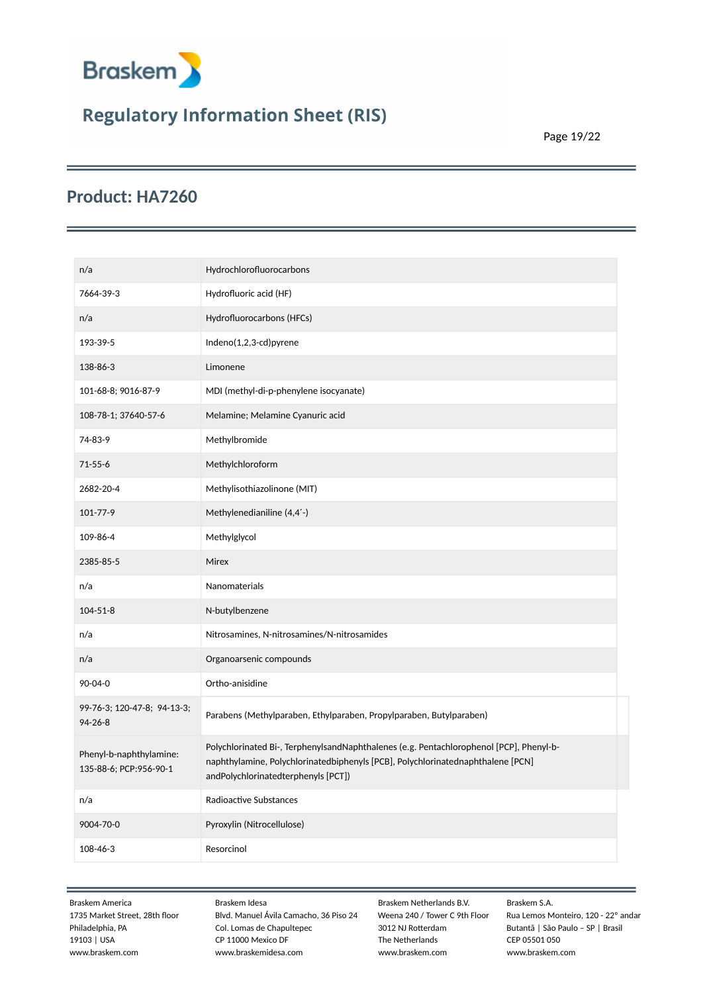

Page 19/22

### **Product: HA7260**

| n/a                                               | Hydrochlorofluorocarbons                                                                                                                                                                                          |
|---------------------------------------------------|-------------------------------------------------------------------------------------------------------------------------------------------------------------------------------------------------------------------|
| 7664-39-3                                         | Hydrofluoric acid (HF)                                                                                                                                                                                            |
| n/a                                               | Hydrofluorocarbons (HFCs)                                                                                                                                                                                         |
| 193-39-5                                          | Indeno(1,2,3-cd)pyrene                                                                                                                                                                                            |
| 138-86-3                                          | Limonene                                                                                                                                                                                                          |
| 101-68-8; 9016-87-9                               | MDI (methyl-di-p-phenylene isocyanate)                                                                                                                                                                            |
| 108-78-1; 37640-57-6                              | Melamine; Melamine Cyanuric acid                                                                                                                                                                                  |
| 74-83-9                                           | Methylbromide                                                                                                                                                                                                     |
| $71 - 55 - 6$                                     | Methylchloroform                                                                                                                                                                                                  |
| 2682-20-4                                         | Methylisothiazolinone (MIT)                                                                                                                                                                                       |
| 101-77-9                                          | Methylenedianiline (4,4'-)                                                                                                                                                                                        |
| 109-86-4                                          | Methylglycol                                                                                                                                                                                                      |
| 2385-85-5                                         | Mirex                                                                                                                                                                                                             |
| n/a                                               | Nanomaterials                                                                                                                                                                                                     |
| $104 - 51 - 8$                                    | N-butylbenzene                                                                                                                                                                                                    |
| n/a                                               | Nitrosamines, N-nitrosamines/N-nitrosamides                                                                                                                                                                       |
| n/a                                               | Organoarsenic compounds                                                                                                                                                                                           |
| 90-04-0                                           | Ortho-anisidine                                                                                                                                                                                                   |
| 99-76-3; 120-47-8; 94-13-3;<br>$94 - 26 - 8$      | Parabens (Methylparaben, Ethylparaben, Propylparaben, Butylparaben)                                                                                                                                               |
| Phenyl-b-naphthylamine:<br>135-88-6; PCP:956-90-1 | Polychlorinated Bi-, TerphenylsandNaphthalenes (e.g. Pentachlorophenol [PCP], Phenyl-b-<br>naphthylamine, Polychlorinatedbiphenyls [PCB], Polychlorinatednaphthalene [PCN]<br>andPolychlorinatedterphenyls [PCT]) |
| n/a                                               | Radioactive Substances                                                                                                                                                                                            |
| 9004-70-0                                         | Pyroxylin (Nitrocellulose)                                                                                                                                                                                        |
| 108-46-3                                          | Resorcinol                                                                                                                                                                                                        |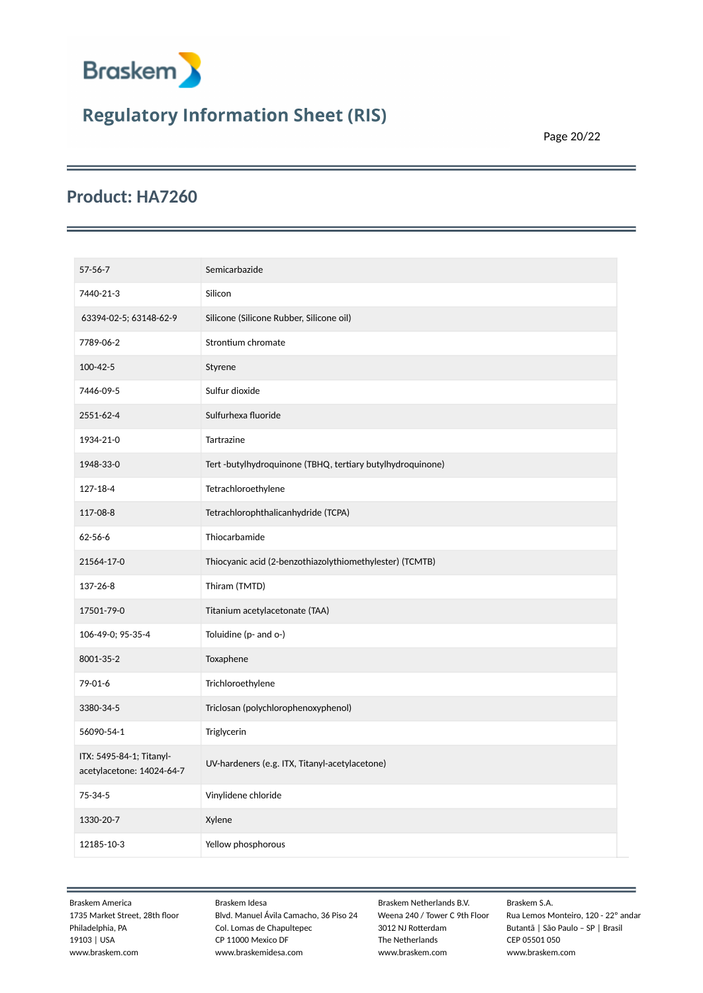

Page 20/22

### **Product: HA7260**

| $57 - 56 - 7$                                         | Semicarbazide                                             |
|-------------------------------------------------------|-----------------------------------------------------------|
| 7440-21-3                                             | Silicon                                                   |
| 63394-02-5; 63148-62-9                                | Silicone (Silicone Rubber, Silicone oil)                  |
| 7789-06-2                                             | Strontium chromate                                        |
| 100-42-5                                              | Styrene                                                   |
| 7446-09-5                                             | Sulfur dioxide                                            |
| 2551-62-4                                             | Sulfurhexa fluoride                                       |
| 1934-21-0                                             | Tartrazine                                                |
| 1948-33-0                                             | Tert-butylhydroquinone (TBHQ, tertiary butylhydroquinone) |
| 127-18-4                                              | Tetrachloroethylene                                       |
| 117-08-8                                              | Tetrachlorophthalicanhydride (TCPA)                       |
| $62 - 56 - 6$                                         | Thiocarbamide                                             |
| 21564-17-0                                            | Thiocyanic acid (2-benzothiazolythiomethylester) (TCMTB)  |
| 137-26-8                                              | Thiram (TMTD)                                             |
| 17501-79-0                                            | Titanium acetylacetonate (TAA)                            |
| 106-49-0; 95-35-4                                     | Toluidine (p- and o-)                                     |
| 8001-35-2                                             | Toxaphene                                                 |
| 79-01-6                                               | Trichloroethylene                                         |
| 3380-34-5                                             | Triclosan (polychlorophenoxyphenol)                       |
| 56090-54-1                                            | Triglycerin                                               |
| ITX: 5495-84-1; Titanyl-<br>acetylacetone: 14024-64-7 | UV-hardeners (e.g. ITX, Titanyl-acetylacetone)            |
| 75-34-5                                               | Vinylidene chloride                                       |
| 1330-20-7                                             | Xylene                                                    |
| 12185-10-3                                            | Yellow phosphorous                                        |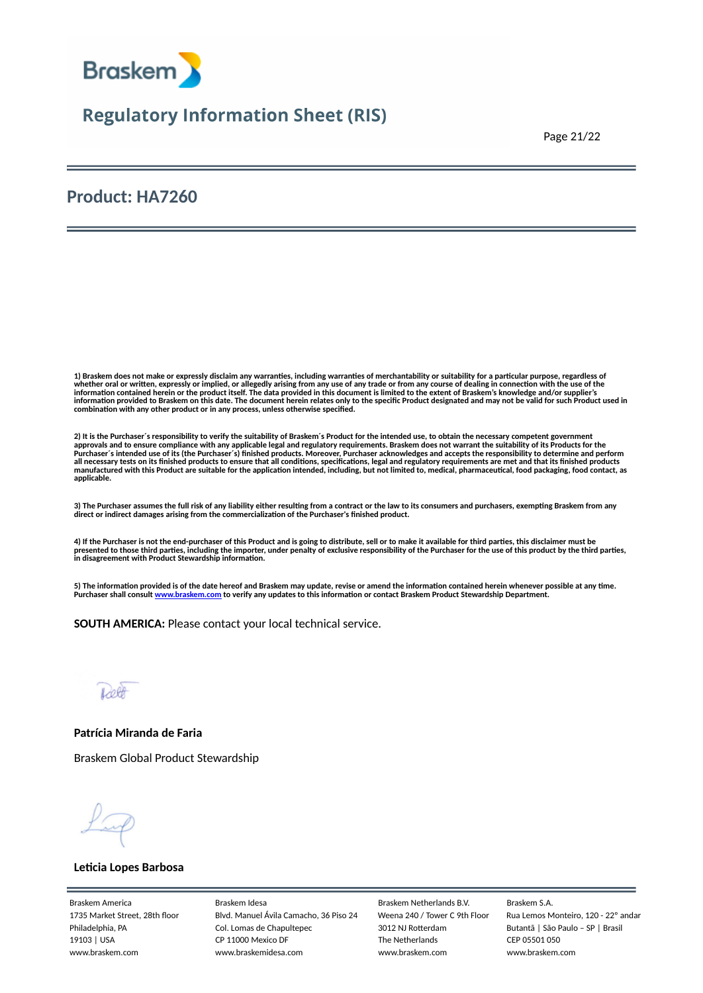

Page 21/22

### **Product: HA7260**

1) Braskem does not make or expressly disclaim any warranties, including warranties of merchantability or suitability for a particular purpose, regardless of<br>whether oral or written, expressly or implied, or allegedly aris information contained herein or the product itself. The data provided in this document is limited to the extent of Braskem's knowledge and/or supplier's<br>information provided to Braskem on this date. The document herein rel **combination with any other product or in any process, unless otherwise specified.**

2) It is the Purchaser´s responsibility to verify the suitability of Braskem´s Product for the intended use, to obtain the necessary competent government<br>approvals and to ensure compliance with any applicable legal and reg all necessary tests on its finished products to ensure that all conditions, specifications, legal and regulatory requirements are met and that its finished products<br>manufactured with this Product are suitable for the appli **applicable.**

3) The Purchaser assumes the full risk of any liability either resulting from a contract or the law to its consumers and purchasers, exempting Braskem from any<br>direct or indirect damages arising from the commercialization

**4) If the Purchaser is not the end-purchaser of this Product and is going to distribute, sell or to make it available for third parties, this disclaimer must be** presented to those third parties, including the importer, under penalty of exclusive responsibility of the Purchaser for the use of this product by the third parties,<br>in disagreement with Product Stewardship information.

**5) The information provided is of the date hereof and Braskem may update, revise or amend the information contained herein whenever possible at any time. Purchaser shall consult [www.braskem.com](http://www.braskem.com) to verify any updates to this information or contact Braskem Product Stewardship Department.**

**SOUTH AMERICA:** Please contact your local technical service.

Lett

**Patrícia Miranda de Faria**

Braskem Global Product Stewardship

#### **Leticia Lopes Barbosa**

Braskem America Braskem Idesa Braskem Netherlands B.V. Braskem S.A.